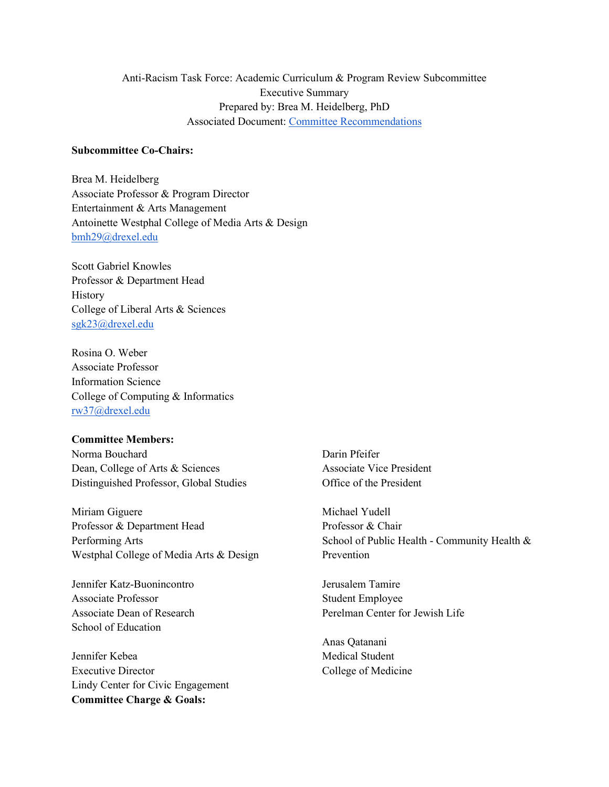# Anti-Racism Task Force: Academic Curriculum & Program Review Subcommittee Executive Summary Prepared by: Brea M. Heidelberg, PhD Associated Document: [Committee Recommendations](https://drive.google.com/file/d/1dqZXNKroQCtnF55gSGSrK7Y3rDrPbMM8/view?usp=sharing)

## **Subcommittee Co-Chairs:**

Brea M. Heidelberg Associate Professor & Program Director Entertainment & Arts Management Antoinette Westphal College of Media Arts & Design [bmh29@drexel.edu](mailto:bmh29@drexel.edu)

Scott Gabriel Knowles Professor & Department Head History College of Liberal Arts & Sciences [sgk23@drexel.edu](mailto:sgk23@drexel.edu)

Rosina O. Weber Associate Professor Information Science College of Computing & Informatics [rw37@drexel.edu](mailto:rw37@drexel.edu)

#### **Committee Members:**

Norma Bouchard Dean, College of Arts & Sciences Distinguished Professor, Global Studies

Miriam Giguere Professor & Department Head Performing Arts Westphal College of Media Arts & Design

Jennifer Katz-Buonincontro Associate Professor Associate Dean of Research School of Education

Jennifer Kebea Executive Director Lindy Center for Civic Engagement **Committee Charge & Goals:**

Darin Pfeifer Associate Vice President Office of the President

Michael Yudell Professor & Chair School of Public Health - Community Health & Prevention

Jerusalem Tamire Student Employee Perelman Center for Jewish Life

Anas Qatanani Medical Student College of Medicine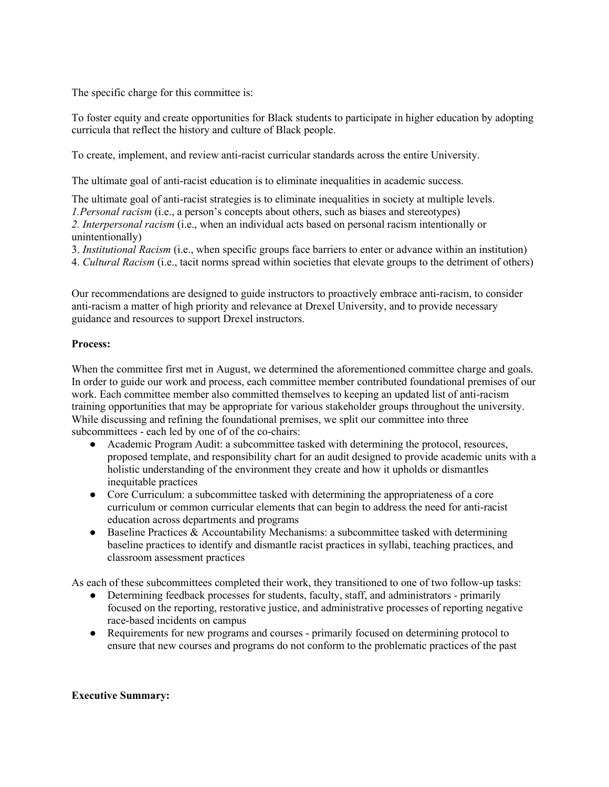The specific charge for this committee is:

To foster equity and create opportunities for Black students to participate in higher education by adopting curricula that reflect the history and culture of Black people.

To create, implement, and review anti-racist curricular standards across the entire University.

The ultimate goal of anti-racist education is to eliminate inequalities in academic success.

The ultimate goal of anti-racist strategies is to eliminate inequalities in society at multiple levels. *1.Personal racism* (i.e., a person's concepts about others, such as biases and stereotypes) *2. Interpersonal racism* (i.e., when an individual acts based on personal racism intentionally or unintentionally)

3. *Institutional Racism* (i.e., when specific groups face barriers to enter or advance within an institution)

4. *Cultural Racism* (i.e., tacit norms spread within societies that elevate groups to the detriment of others)

Our recommendations are designed to guide instructors to proactively embrace anti-racism, to consider anti-racism a matter of high priority and relevance at Drexel University, and to provide necessary guidance and resources to support Drexel instructors.

## **Process:**

When the committee first met in August, we determined the aforementioned committee charge and goals. In order to guide our work and process, each committee member contributed foundational premises of our work. Each committee member also committed themselves to keeping an updated list of anti-racism training opportunities that may be appropriate for various stakeholder groups throughout the university. While discussing and refining the foundational premises, we split our committee into three subcommittees - each led by one of of the co-chairs:

- Academic Program Audit: a subcommittee tasked with determining the protocol, resources, proposed template, and responsibility chart for an audit designed to provide academic units with a holistic understanding of the environment they create and how it upholds or dismantles inequitable practices
- Core Curriculum: a subcommittee tasked with determining the appropriateness of a core curriculum or common curricular elements that can begin to address the need for anti-racist education across departments and programs
- $\bullet$  Baseline Practices & Accountability Mechanisms: a subcommittee tasked with determining baseline practices to identify and dismantle racist practices in syllabi, teaching practices, and classroom assessment practices

As each of these subcommittees completed their work, they transitioned to one of two follow-up tasks:

- Determining feedback processes for students, faculty, staff, and administrators primarily focused on the reporting, restorative justice, and administrative processes of reporting negative race-based incidents on campus
- Requirements for new programs and courses primarily focused on determining protocol to ensure that new courses and programs do not conform to the problematic practices of the past

## **Executive Summary:**